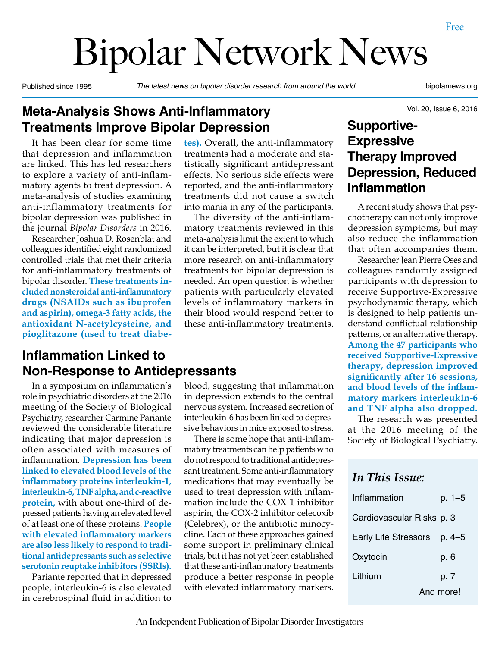# Bipolar Network News

Published since 1995 *The latest news on bipolar disorder research from around the world* bipolarnews.org

Vol. 20, Issue 6, 2016

#### **Meta-Analysis Shows Anti-Inflammatory Treatments Improve Bipolar Depression**

It has been clear for some time that depression and inflammation are linked. This has led researchers to explore a variety of anti-inflammatory agents to treat depression. A meta-analysis of studies examining anti-inflammatory treatments for bipolar depression was published in the journal *Bipolar Disorders* in 2016.

Researcher Joshua D. Rosenblat and colleagues identified eight randomized controlled trials that met their criteria for anti-inflammatory treatments of bipolar disorder. **These treatments included nonsteroidal anti-inflammatory drugs (NSAIDs such as ibuprofen and aspirin), omega-3 fatty acids, the antioxidant N-acetylcysteine, and pioglitazone (used to treat diabe-**

#### **Inflammation Linked to Non-Response to Antidepressants**

In a symposium on inflammation's role in psychiatric disorders at the 2016 meeting of the Society of Biological Psychiatry, researcher Carmine Pariante reviewed the considerable literature indicating that major depression is often associated with measures of inflammation. **Depression has been linked to elevated blood levels of the inflammatory proteins interleukin-1, interleukin-6, TNF alpha, and c-reactive protein,** with about one-third of depressed patients having an elevated level of at least one of these proteins. **People with elevated inflammatory markers are also less likely to respond to traditional antidepressants such as selective serotonin reuptake inhibitors (SSRIs).**

Pariante reported that in depressed people, interleukin-6 is also elevated in cerebrospinal fluid in addition to

**tes).** Overall, the anti-inflammatory treatments had a moderate and statistically significant antidepressant effects. No serious side effects were reported, and the anti-inflammatory treatments did not cause a switch into mania in any of the participants.

The diversity of the anti-inflammatory treatments reviewed in this meta-analysis limit the extent to which it can be interpreted, but it is clear that more research on anti-inflammatory treatments for bipolar depression is needed. An open question is whether patients with particularly elevated levels of inflammatory markers in their blood would respond better to these anti-inflammatory treatments.

blood, suggesting that inflammation in depression extends to the central nervous system. Increased secretion of interleukin-6 has been linked to depressive behaviors in mice exposed to stress. There is some hope that anti-inflammatory treatments can help patients who do not respond to traditional antidepressant treatment. Some anti-inflammatory medications that may eventually be used to treat depression with inflammation include the COX-1 inhibitor aspirin, the COX-2 inhibitor celecoxib (Celebrex), or the antibiotic minocycline. Each of these approaches gained some support in preliminary clinical trials, but it has not yet been established that these anti-inflammatory treatments produce a better response in people with elevated inflammatory markers.

**Supportive-Expressive Therapy Improved Depression, Reduced Inflammation**

A recent study shows that psychotherapy can not only improve depression symptoms, but may also reduce the inflammation that often accompanies them.

Researcher Jean Pierre Oses and colleagues randomly assigned participants with depression to receive Supportive-Expressive psychodynamic therapy, which is designed to help patients understand conflictual relationship patterns, or an alternative therapy. **Among the 47 participants who received Supportive-Expressive therapy, depression improved significantly after 16 sessions, and blood levels of the inflammatory markers interleukin-6 and TNF alpha also dropped.**

The research was presented at the 2016 meeting of the Society of Biological Psychiatry.

#### *In This Issue:*

| Inflammation                | p. 1–5    |
|-----------------------------|-----------|
| Cardiovascular Risks p. 3   |           |
| <b>Early Life Stressors</b> | p. 4–5    |
| Oxytocin                    | p. 6      |
| Lithium                     | p. 7      |
|                             | And more! |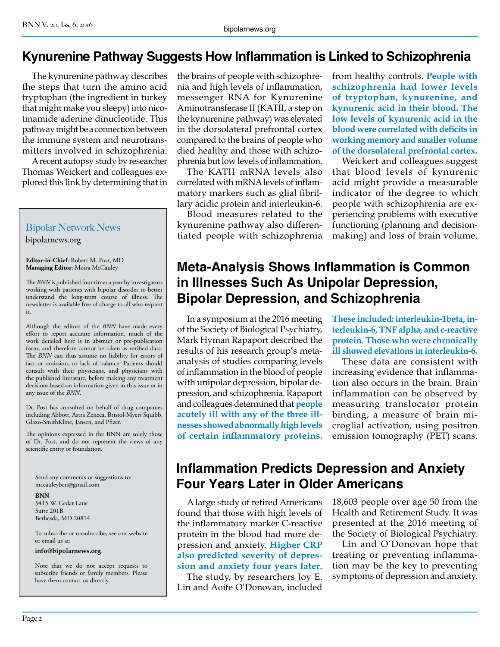#### **Kynurenine Pathway Suggests How Inflammation is Linked to Schizophrenia**

The kynurenine pathway describes the steps that turn the amino acid tryptophan (the ingredient in turkey that might make you sleepy) into nicotinamide adenine dinucleotide. This pathway might be a connection between the immune system and neurotransmitters involved in schizophrenia.

A recent autopsy study by researcher Thomas Weickert and colleagues explored this link by determining that in

#### Bipolar Network News

bipolarnews.org

**Editor-in-Chief**: Robert M. Post, MD **Managing Editor**: Moira McCauley

The *BNN* is published four times a year by investigators working with patients with bipolar disorder to better understand the long-term course of illness. The newsletter is available free of charge to all who request it.

Although the editors of the *BNN* have made every effort to report accurate information, much of the work detailed here is in abstract or pre-publication form, and therefore cannot be taken as verified data. The *BNN* can thus assume no liability for errors of fact or omission, or lack of balance. Patients should consult with their physicians, and physicians with the published literature, before making any treatment decisions based on information given in this issue or in any issue of the *BNN*.

Dr. Post has consulted on behalf of drug companies including Abbott, Astra Zeneca, Bristol-Myers Squibb, Glaxo-SmithKline, Jansen, and Pfizer.

The opinions expressed in the BNN are solely those of Dr. Post, and do not represent the views of any scientific entity or foundation.

Send any comments or suggestions to: mccauleybcn@gmail.com

**BNN** 5415 W. Cedar Lane Suite 201B Bethesda, MD 20814

To subscribe or unsubscribe, see our website or email us at:

#### **info@bipolarnews.org**.

Note that we do not accept requests to subscribe friends or family members. Please have them contact us directly.

the brains of people with schizophrenia and high levels of inflammation, messenger RNA for Kynurenine Aminotransferase II (KATII, a step on the kynurenine pathway) was elevated in the dorsolateral prefrontal cortex compared to the brains of people who died healthy and those with schizophrenia but low levels of inflammation.

The KATII mRNA levels also correlated with mRNA levels of inflammatory markers such as glial fibrillary acidic protein and interleukin-6.

Blood measures related to the kynurenine pathway also differentiated people with schizophrenia from healthy controls. **People with schizophrenia had lower levels of tryptophan, kynurenine, and kynurenic acid in their blood. The low levels of kynurenic acid in the blood were correlated with deficits in working memory and smaller volume of the dorsolateral prefrontal cortex.**

Weickert and colleagues suggest that blood levels of kynurenic acid might provide a measurable indicator of the degree to which people with schizophrenia are experiencing problems with executive functioning (planning and decisionmaking) and loss of brain volume.

#### **Meta-Analysis Shows Inflammation is Common in Illnesses Such As Unipolar Depression, Bipolar Depression, and Schizophrenia**

In a symposium at the 2016 meeting of the Society of Biological Psychiatry, Mark Hyman Rapaport described the results of his research group's metaanalysis of studies comparing levels of inflammation in the blood of people with unipolar depression, bipolar depression, and schizophrenia. Rapaport and colleagues determined that **people acutely ill with any of the three illnesses showed abnormally high levels of certain inflammatory proteins.** 

**These included: interleukin-1beta, interleukin-6, TNF alpha, and c-reactive protein. Those who were chronically ill showed elevations in interleukin-6.**

These data are consistent with increasing evidence that inflammation also occurs in the brain. Brain inflammation can be observed by measuring translocator protein binding, a measure of brain microglial activation, using positron emission tomography (PET) scans.

#### **Inflammation Predicts Depression and Anxiety Four Years Later in Older Americans**

A large study of retired Americans found that those with high levels of the inflammatory marker C-reactive protein in the blood had more depression and anxiety. **Higher CRP also predicted severity of depression and anxiety four years later.**

The study, by researchers Joy E. Lin and Aoife O'Donovan, included

18,603 people over age 50 from the Health and Retirement Study. It was presented at the 2016 meeting of the Society of Biological Psychiatry.

Lin and O'Donovan hope that treating or preventing inflammation may be the key to preventing symptoms of depression and anxiety.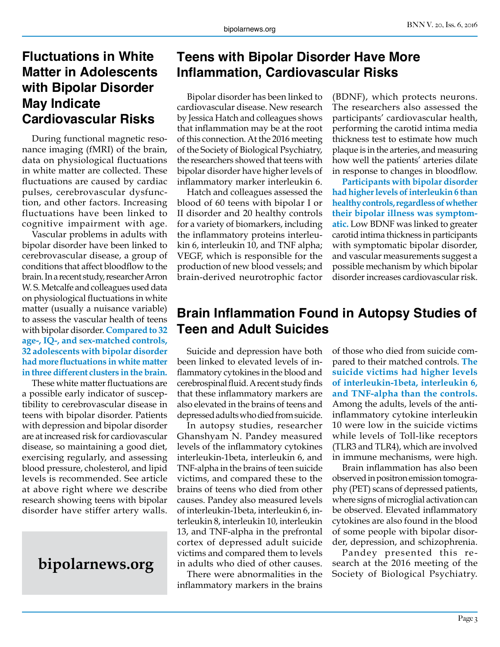#### **Fluctuations in White Matter in Adolescents with Bipolar Disorder May Indicate Cardiovascular Risks**

During functional magnetic resonance imaging (fMRI) of the brain, data on physiological fluctuations in white matter are collected. These fluctuations are caused by cardiac pulses, cerebrovascular dysfunction, and other factors. Increasing fluctuations have been linked to cognitive impairment with age.

Vascular problems in adults with bipolar disorder have been linked to cerebrovascular disease, a group of conditions that affect bloodflow to the brain. In a recent study, researcher Arron W. S. Metcalfe and colleagues used data on physiological fluctuations in white matter (usually a nuisance variable) to assess the vascular health of teens with bipolar disorder. **Compared to 32 age-, IQ-, and sex-matched controls, 32 adolescents with bipolar disorder had more fluctuations in white matter in three different clusters in the brain.**

These white matter fluctuations are a possible early indicator of susceptibility to cerebrovascular disease in teens with bipolar disorder. Patients with depression and bipolar disorder are at increased risk for cardiovascular disease, so maintaining a good diet, exercising regularly, and assessing blood pressure, cholesterol, and lipid levels is recommended. See article at above right where we describe research showing teens with bipolar disorder have stiffer artery walls.

#### **Teens with Bipolar Disorder Have More Inflammation, Cardiovascular Risks**

Bipolar disorder has been linked to cardiovascular disease. New research by Jessica Hatch and colleagues shows that inflammation may be at the root of this connection. At the 2016 meeting of the Society of Biological Psychiatry, the researchers showed that teens with bipolar disorder have higher levels of inflammatory marker interleukin 6.

Hatch and colleagues assessed the blood of 60 teens with bipolar I or II disorder and 20 healthy controls for a variety of biomarkers, including the inflammatory proteins interleukin 6, interleukin 10, and TNF alpha; VEGF, which is responsible for the production of new blood vessels; and brain-derived neurotrophic factor (BDNF), which protects neurons. The researchers also assessed the participants' cardiovascular health, performing the carotid intima media thickness test to estimate how much plaque is in the arteries, and measuring how well the patients' arteries dilate in response to changes in bloodflow.

**Participants with bipolar disorder had higher levels of interleukin 6 than healthy controls, regardless of whether their bipolar illness was symptomatic.** Low BDNF was linked to greater carotid intima thickness in participants with symptomatic bipolar disorder, and vascular measurements suggest a possible mechanism by which bipolar disorder increases cardiovascular risk.

#### **Brain Inflammation Found in Autopsy Studies of Teen and Adult Suicides**

Suicide and depression have both been linked to elevated levels of inflammatory cytokines in the blood and cerebrospinal fluid. A recent study finds that these inflammatory markers are also elevated in the brains of teens and depressed adults who died from suicide.

In autopsy studies, researcher Ghanshyam N. Pandey measured levels of the inflammatory cytokines interleukin-1beta, interleukin 6, and TNF-alpha in the brains of teen suicide victims, and compared these to the brains of teens who died from other causes. Pandey also measured levels of interleukin-1beta, interleukin 6, interleukin 8, interleukin 10, interleukin 13, and TNF-alpha in the prefrontal cortex of depressed adult suicide victims and compared them to levels in adults who died of other causes.

There were abnormalities in the inflammatory markers in the brains

of those who died from suicide compared to their matched controls. **The suicide victims had higher levels of interleukin-1beta, interleukin 6, and TNF-alpha than the controls.**  Among the adults, levels of the antiinflammatory cytokine interleukin 10 were low in the suicide victims while levels of Toll-like receptors (TLR3 and TLR4), which are involved in immune mechanisms, were high.

Brain inflammation has also been observed in positron emission tomography (PET) scans of depressed patients, where signs of microglial activation can be observed. Elevated inflammatory cytokines are also found in the blood of some people with bipolar disorder, depression, and schizophrenia.

Pandey presented this research at the 2016 meeting of the **bipolarnews.org** in adults who died of other causes. search at the 2016 meeting of the There were abnormalities in the Society of Biological Psychiatry.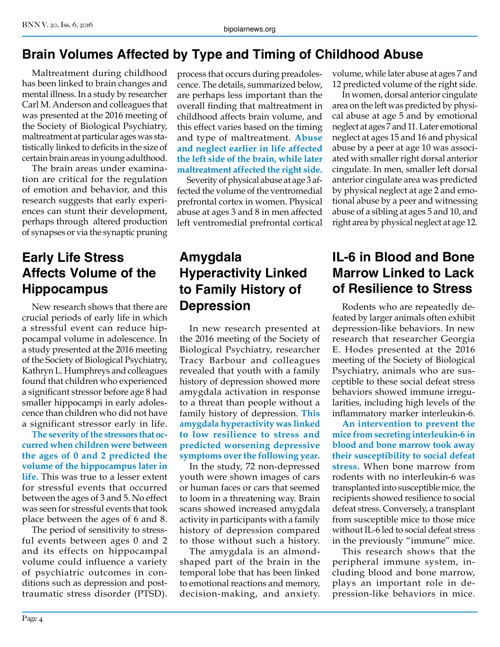# **Brain Volumes Affected by Type and Timing of Childhood Abuse**

Maltreatment during childhood has been linked to brain changes and mental illness. In a study by researcher Carl M. Anderson and colleagues that was presented at the 2016 meeting of the Society of Biological Psychiatry, maltreatment at particular ages was statistically linked to deficits in the size of certain brain areas in young adulthood.

The brain areas under examination are critical for the regulation of emotion and behavior, and this research suggests that early experiences can stunt their development, perhaps through altered production of synapses or via the synaptic pruning

#### **Early Life Stress Affects Volume of the Hippocampus**

New research shows that there are crucial periods of early life in which a stressful event can reduce hippocampal volume in adolescence. In a study presented at the 2016 meeting of the Society of Biological Psychiatry, Kathryn L. Humphreys and colleagues found that children who experienced a significant stressor before age 8 had smaller hippocampi in early adolescence than children who did not have a significant stressor early in life.

**The severity of the stressors that occurred when children were between the ages of 0 and 2 predicted the volume of the hippocampus later in life.** This was true to a lesser extent for stressful events that occurred between the ages of 3 and 5. No effect was seen for stressful events that took place between the ages of 6 and 8.

The period of sensitivity to stressful events between ages 0 and 2 and its effects on hippocampal volume could influence a variety of psychiatric outcomes in conditions such as depression and posttraumatic stress disorder (PTSD). process that occurs during preadolescence. The details, summarized below, are perhaps less important than the overall finding that maltreatment in childhood affects brain volume, and this effect varies based on the timing and type of maltreatment. **Abuse and neglect earlier in life affected the left side of the brain, while later maltreatment affected the right side.**

Severity of physical abuse at age 3 affected the volume of the ventromedial prefrontal cortex in women. Physical abuse at ages 3 and 8 in men affected left ventromedial prefrontal cortical

# **Amygdala Hyperactivity Linked to Family History of Depression**

In new research presented at the 2016 meeting of the Society of Biological Psychiatry, researcher Tracy Barbour and colleagues revealed that youth with a family history of depression showed more amygdala activation in response to a threat than people without a family history of depression. **This amygdala hyperactivity was linked to low resilience to stress and predicted worsening depressive symptoms over the following year.**

In the study, 72 non-depressed youth were shown images of cars or human faces or cars that seemed to loom in a threatening way. Brain scans showed increased amygdala activity in participants with a family history of depression compared to those without such a history.

The amygdala is an almondshaped part of the brain in the temporal lobe that has been linked to emotional reactions and memory, decision-making, and anxiety. volume, while later abuse at ages 7 and 12 predicted volume of the right side.

In women, dorsal anterior cingulate area on the left was predicted by physical abuse at age 5 and by emotional neglect at ages 7 and 11. Later emotional neglect at ages 15 and 16 and physical abuse by a peer at age 10 was associated with smaller right dorsal anterior cingulate. In men, smaller left dorsal anterior cingulate area was predicted by physical neglect at age 2 and emotional abuse by a peer and witnessing abuse of a sibling at ages 5 and 10, and right area by physical neglect at age 12.

#### **IL-6 in Blood and Bone Marrow Linked to Lack of Resilience to Stress**

Rodents who are repeatedly defeated by larger animals often exhibit depression-like behaviors. In new research that researcher Georgia E. Hodes presented at the 2016 meeting of the Society of Biological Psychiatry, animals who are susceptible to these social defeat stress behaviors showed immune irregularities, including high levels of the inflammatory marker interleukin-6.

**An intervention to prevent the mice from secreting interleukin-6 in blood and bone marrow took away their susceptibility to social defeat stress.** When bone marrow from rodents with no interleukin-6 was transplanted into susceptible mice, the recipients showed resilience to social defeat stress. Conversely, a transplant from susceptible mice to those mice without IL-6 led to social defeat stress in the previously "immune" mice.

This research shows that the peripheral immune system, including blood and bone marrow, plays an important role in depression-like behaviors in mice.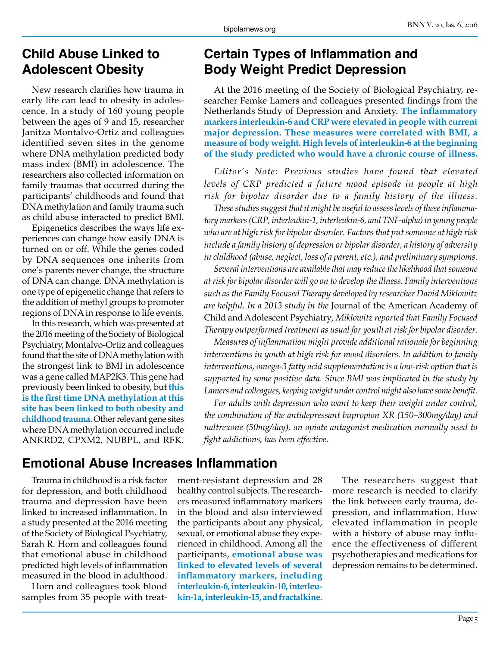#### **Child Abuse Linked to Adolescent Obesity**

New research clarifies how trauma in early life can lead to obesity in adolescence. In a study of 160 young people between the ages of 9 and 15, researcher Janitza Montalvo-Ortiz and colleagues identified seven sites in the genome where DNA methylation predicted body mass index (BMI) in adolescence. The researchers also collected information on family traumas that occurred during the participants' childhoods and found that DNA methylation and family trauma such as child abuse interacted to predict BMI.

Epigenetics describes the ways life experiences can change how easily DNA is turned on or off. While the genes coded by DNA sequences one inherits from one's parents never change, the structure of DNA can change. DNA methylation is one type of epigenetic change that refers to the addition of methyl groups to promoter regions of DNA in response to life events.

In this research, which was presented at the 2016 meeting of the Society of Biological Psychiatry, Montalvo-Ortiz and colleagues found that the site of DNA methylation with the strongest link to BMI in adolescence was a gene called MAP2K3. This gene had previously been linked to obesity, but **this is the first time DNA methylation at this site has been linked to both obesity and childhood trauma.** Other relevant gene sites where DNA methylation occurred include ANKRD2, CPXM2, NUBPL, and RFK.

**Emotional Abuse Increases Inflammation**

Trauma in childhood is a risk factor for depression, and both childhood trauma and depression have been linked to increased inflammation. In a study presented at the 2016 meeting of the Society of Biological Psychiatry, Sarah R. Horn and colleagues found that emotional abuse in childhood predicted high levels of inflammation measured in the blood in adulthood.

Horn and colleagues took blood samples from 35 people with treat-

#### **Certain Types of Inflammation and Body Weight Predict Depression**

At the 2016 meeting of the Society of Biological Psychiatry, researcher Femke Lamers and colleagues presented findings from the Netherlands Study of Depression and Anxiety. **The inflammatory markers interleukin-6 and CRP were elevated in people with current major depression. These measures were correlated with BMI, a measure of body weight. High levels of interleukin-6 at the beginning of the study predicted who would have a chronic course of illness.**

*Editor's Note: Previous studies have found that elevated levels of CRP predicted a future mood episode in people at high risk for bipolar disorder due to a family history of the illness.*

*These studies suggest that it might be useful to assess levels of these inflammatory markers (CRP, interleukin-1, interleukin-6, and TNF-alpha) in young people who are at high risk for bipolar disorder. Factors that put someone at high risk include a family history of depression or bipolar disorder, a history of adversity in childhood (abuse, neglect, loss of a parent, etc.), and preliminary symptoms.*

*Several interventions are available that may reduce the likelihood that someone at risk for bipolar disorder will go on to develop the illness. Family interventions such as the Family Focused Therapy developed by researcher David Miklowitz are helpful. In a 2013 study in the* Journal of the American Academy of Child and Adolescent Psychiatry*, Miklowitz reported that Family Focused Therapy outperformed treatment as usual for youth at risk for bipolar disorder.*

*Measures of inflammation might provide additional rationale for beginning interventions in youth at high risk for mood disorders. In addition to family interventions, omega-3 fatty acid supplementation is a low-risk option that is supported by some positive data. Since BMI was implicated in the study by Lamers and colleagues, keeping weight under control might also have some benefit.*

*For adults with depression who want to keep their weight under control, the combination of the antidepressant bupropion XR (150–300mg/day) and naltrexone (50mg/day), an opiate antagonist medication normally used to fight addictions, has been effective.*

ment-resistant depression and 28 healthy control subjects. The researchers measured inflammatory markers in the blood and also interviewed the participants about any physical, sexual, or emotional abuse they experienced in childhood. Among all the participants, **emotional abuse was linked to elevated levels of several inflammatory markers, including interleukin-6, interleukin-10, interleukin-1a, interleukin-15, and fractalkine.**

The researchers suggest that more research is needed to clarify the link between early trauma, depression, and inflammation. How elevated inflammation in people with a history of abuse may influence the effectiveness of different psychotherapies and medications for depression remains to be determined.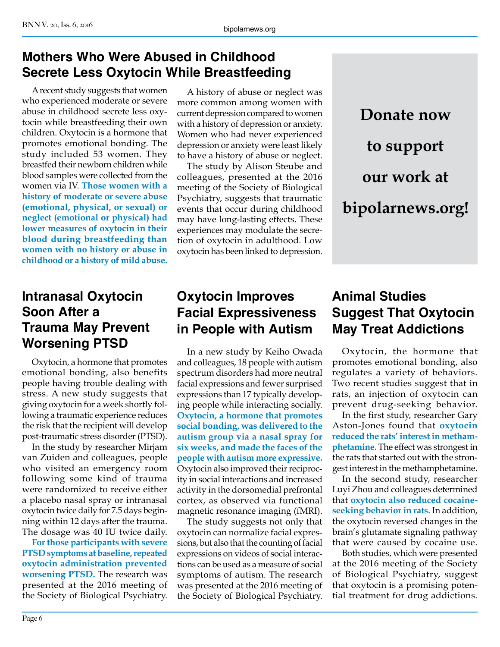#### **Mothers Who Were Abused in Childhood Secrete Less Oxytocin While Breastfeeding**

A recent study suggests that women who experienced moderate or severe abuse in childhood secrete less oxytocin while breastfeeding their own children. Oxytocin is a hormone that promotes emotional bonding. The study included 53 women. They breastfed their newborn children while blood samples were collected from the women via IV. **Those women with a history of moderate or severe abuse (emotional, physical, or sexual) or neglect (emotional or physical) had lower measures of oxytocin in their blood during breastfeeding than women with no history or abuse in childhood or a history of mild abuse.**

#### **Intranasal Oxytocin Soon After a Trauma May Prevent Worsening PTSD**

Oxytocin, a hormone that promotes emotional bonding, also benefits people having trouble dealing with stress. A new study suggests that giving oxytocin for a week shortly following a traumatic experience reduces the risk that the recipient will develop post-traumatic stress disorder (PTSD).

In the study by researcher Mirjam van Zuiden and colleagues, people who visited an emergency room following some kind of trauma were randomized to receive either a placebo nasal spray or intranasal oxytocin twice daily for 7.5 days beginning within 12 days after the trauma. The dosage was 40 IU twice daily.

**For those participants with severe PTSD symptoms at baseline, repeated oxytocin administration prevented worsening PTSD.** The research was presented at the 2016 meeting of the Society of Biological Psychiatry.

A history of abuse or neglect was more common among women with current depression compared to women with a history of depression or anxiety. Women who had never experienced depression or anxiety were least likely to have a history of abuse or neglect.

The study by Alison Steube and colleagues, presented at the 2016 meeting of the Society of Biological Psychiatry, suggests that traumatic events that occur during childhood may have long-lasting effects. These experiences may modulate the secretion of oxytocin in adulthood. Low oxytocin has been linked to depression.

#### **Oxytocin Improves Facial Expressiveness in People with Autism**

In a new study by Keiho Owada and colleagues, 18 people with autism spectrum disorders had more neutral facial expressions and fewer surprised expressions than 17 typically developing people while interacting socially. **Oxytocin, a hormone that promotes social bonding, was delivered to the autism group via a nasal spray for six weeks, and made the faces of the people with autism more expressive.**  Oxytocin also improved their reciprocity in social interactions and increased activity in the dorsomedial prefrontal cortex, as observed via functional magnetic resonance imaging (fMRI).

The study suggests not only that oxytocin can normalize facial expressions, but also that the counting of facial expressions on videos of social interactions can be used as a measure of social symptoms of autism. The research was presented at the 2016 meeting of the Society of Biological Psychiatry.

#### **Animal Studies Suggest That Oxytocin May Treat Addictions**

**Donate now**

**to support** 

**our work at** 

**bipolarnews.org!**

Oxytocin, the hormone that promotes emotional bonding, also regulates a variety of behaviors. Two recent studies suggest that in rats, an injection of oxytocin can prevent drug-seeking behavior.

In the first study, researcher Gary Aston-Jones found that **oxytocin reduced the rats' interest in methamphetamine.** The effect was strongest in the rats that started out with the strongest interest in the methamphetamine.

In the second study, researcher Luyi Zhou and colleagues determined that **oxytocin also reduced cocaineseeking behavior in rats.** In addition, the oxytocin reversed changes in the brain's glutamate signaling pathway that were caused by cocaine use.

Both studies, which were presented at the 2016 meeting of the Society of Biological Psychiatry, suggest that oxytocin is a promising potential treatment for drug addictions.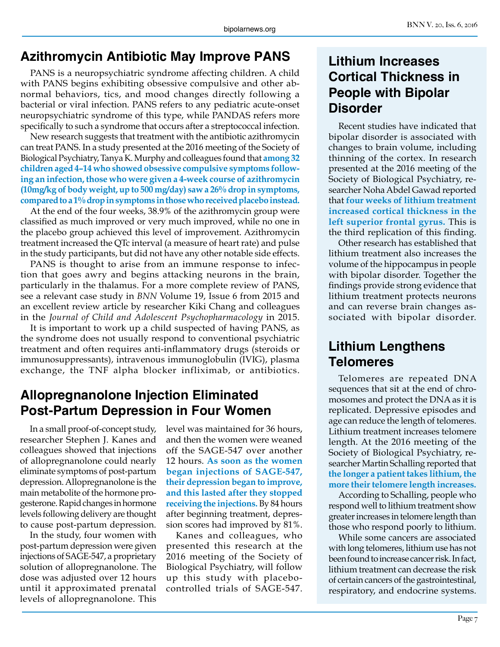# **Azithromycin Antibiotic May Improve PANS**

PANS is a neuropsychiatric syndrome affecting children. A child with PANS begins exhibiting obsessive compulsive and other abnormal behaviors, tics, and mood changes directly following a bacterial or viral infection. PANS refers to any pediatric acute-onset neuropsychiatric syndrome of this type, while PANDAS refers more specifically to such a syndrome that occurs after a streptococcal infection.

New research suggests that treatment with the antibiotic azithromycin can treat PANS. In a study presented at the 2016 meeting of the Society of Biological Psychiatry, Tanya K. Murphy and colleagues found that **among 32 children aged 4–14 who showed obsessive compulsive symptoms following an infection, those who were given a 4-week course of azithromycin (10mg/kg of body weight, up to 500 mg/day) saw a 26% drop in symptoms, compared to a 1% drop in symptoms in those who received placebo instead.**

At the end of the four weeks, 38.9% of the azithromycin group were classified as much improved or very much improved, while no one in the placebo group achieved this level of improvement. Azithromycin treatment increased the QTc interval (a measure of heart rate) and pulse in the study participants, but did not have any other notable side effects.

PANS is thought to arise from an immune response to infection that goes awry and begins attacking neurons in the brain, particularly in the thalamus. For a more complete review of PANS, see a relevant case study in *BNN* Volume 19, Issue 6 from 2015 and an excellent review article by researcher Kiki Chang and colleagues in the *Journal of Child and Adolescent Psychopharmacology* in 2015.

It is important to work up a child suspected of having PANS, as the syndrome does not usually respond to conventional psychiatric treatment and often requires anti-inflammatory drugs (steroids or immunosuppressants), intravenous immunoglobulin (IVIG), plasma exchange, the TNF alpha blocker infliximab, or antibiotics.

#### **Allopregnanolone Injection Eliminated Post-Partum Depression in Four Women**

In a small proof-of-concept study, researcher Stephen J. Kanes and colleagues showed that injections of allopregnanolone could nearly eliminate symptoms of post-partum depression. Allopregnanolone is the main metabolite of the hormone progesterone. Rapid changes in hormone levels following delivery are thought to cause post-partum depression.

In the study, four women with post-partum depression were given injections of SAGE-547, a proprietary solution of allopregnanolone. The dose was adjusted over 12 hours until it approximated prenatal levels of allopregnanolone. This

level was maintained for 36 hours, and then the women were weaned off the SAGE-547 over another 12 hours. **As soon as the women began injections of SAGE-547, their depression began to improve, and this lasted after they stopped receiving the injections.** By 84 hours after beginning treatment, depression scores had improved by 81%.

Kanes and colleagues, who presented this research at the 2016 meeting of the Society of Biological Psychiatry, will follow up this study with placebocontrolled trials of SAGE-547.

#### **Lithium Increases Cortical Thickness in People with Bipolar Disorder**

Recent studies have indicated that bipolar disorder is associated with changes to brain volume, including thinning of the cortex. In research presented at the 2016 meeting of the Society of Biological Psychiatry, researcher Noha Abdel Gawad reported that **four weeks of lithium treatment increased cortical thickness in the left superior frontal gyrus.** This is the third replication of this finding.

Other research has established that lithium treatment also increases the volume of the hippocampus in people with bipolar disorder. Together the findings provide strong evidence that lithium treatment protects neurons and can reverse brain changes associated with bipolar disorder.

#### **Lithium Lengthens Telomeres**

Telomeres are repeated DNA sequences that sit at the end of chromosomes and protect the DNA as it is replicated. Depressive episodes and age can reduce the length of telomeres. Lithium treatment increases telomere length. At the 2016 meeting of the Society of Biological Psychiatry, researcher Martin Schalling reported that **the longer a patient takes lithium, the more their telomere length increases.**

According to Schalling, people who respond well to lithium treatment show greater increases in telomere length than those who respond poorly to lithium.

While some cancers are associated with long telomeres, lithium use has not been found to increase cancer risk. In fact, lithium treatment can decrease the risk of certain cancers of the gastrointestinal, respiratory, and endocrine systems.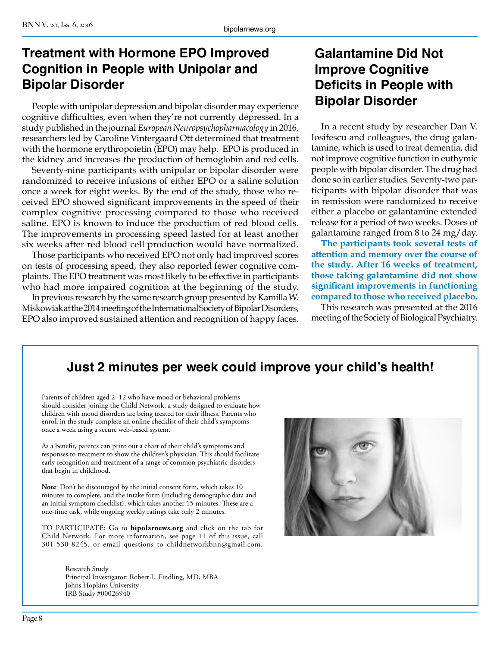# **Treatment with Hormone EPO Improved Cognition in People with Unipolar and Bipolar Disorder**

People with unipolar depression and bipolar disorder may experience cognitive difficulties, even when they're not currently depressed. In a study published in the journal *European Neuropsychopharmacology* in 2016, researchers led by Caroline Vintergaard Ott determined that treatment with the hormone erythropoietin (EPO) may help. EPO is produced in the kidney and increases the production of hemoglobin and red cells.

Seventy-nine participants with unipolar or bipolar disorder were randomized to receive infusions of either EPO or a saline solution once a week for eight weeks. By the end of the study, those who received EPO showed significant improvements in the speed of their complex cognitive processing compared to those who received saline. EPO is known to induce the production of red blood cells. The improvements in processing speed lasted for at least another six weeks after red blood cell production would have normalized.

Those participants who received EPO not only had improved scores on tests of processing speed, they also reported fewer cognitive complaints. The EPO treatment was most likely to be effective in participants who had more impaired cognition at the beginning of the study.

In previous research by the same research group presented by Kamilla W. Miskowiak at the 2014 meeting of the International Society of Bipolar Disorders, EPO also improved sustained attention and recognition of happy faces.

#### **Galantamine Did Not Improve Cognitive Deficits in People with Bipolar Disorder**

In a recent study by researcher Dan V. Iosifescu and colleagues, the drug galantamine, which is used to treat dementia, did not improve cognitive function in euthymic people with bipolar disorder. The drug had done so in earlier studies. Seventy-two participants with bipolar disorder that was in remission were randomized to receive either a placebo or galantamine extended release for a period of two weeks. Doses of galantamine ranged from 8 to 24 mg/day.

**The participants took several tests of attention and memory over the course of the study. After 16 weeks of treatment, those taking galantamine did not show significant improvements in functioning compared to those who received placebo.**

This research was presented at the 2016 meeting of the Society of Biological Psychiatry.

# **Just 2 minutes per week could improve your child's health!**

Parents of children aged 2–12 who have mood or behavioral problems should consider joining the Child Network, a study designed to evaluate how children with mood disorders are being treated for their illness. Parents who enroll in the study complete an online checklist of their child's symptoms once a week using a secure web-based system.

As a benefit, parents can print out a chart of their child's symptoms and responses to treatment to show the children's physician. This should facilitate early recognition and treatment of a range of common psychiatric disorders that begin in childhood.

**Note**: Don't be discouraged by the initial consent form, which takes 10 minutes to complete, and the intake form (including demographic data and an initial symptom checklist), which takes another 15 minutes. These are a one-time task, while ongoing weekly ratings take only 2 minutes.

TO PARTICIPATE: Go to **bipolarnews.org** and click on the tab for Child Network. For more information, see page 11 of this issue, call 301-530-8245, or email questions to childnetworkbnn@gmail.com.

> Research Study Principal Investigator: Robert L. Findling, MD, MBA Johns Hopkins University IRB Study #00026940

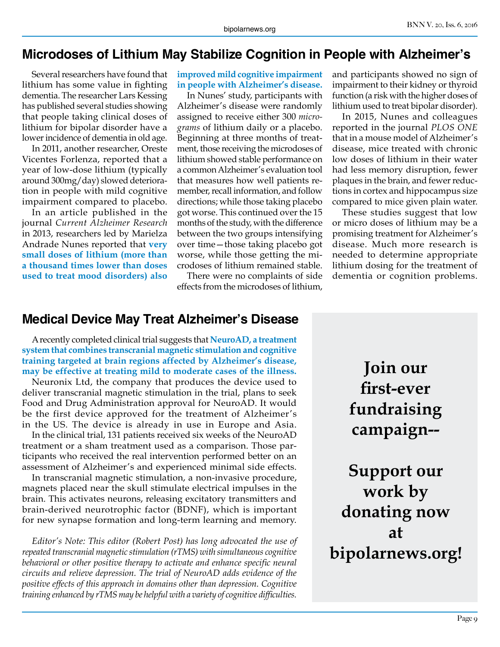#### **Microdoses of Lithium May Stabilize Cognition in People with Alzheimer's**

Several researchers have found that lithium has some value in fighting dementia. The researcher Lars Kessing has published several studies showing that people taking clinical doses of lithium for bipolar disorder have a lower incidence of dementia in old age.

In 2011, another researcher, Oreste Vicentes Forlenza, reported that a year of low-dose lithium (typically around 300mg/day) slowed deterioration in people with mild cognitive impairment compared to placebo.

In an article published in the journal *Current Alzheimer Research* in 2013, researchers led by Marielza Andrade Nunes reported that **very small doses of lithium (more than a thousand times lower than doses used to treat mood disorders) also** 

#### **improved mild cognitive impairment in people with Alzheimer's disease.**

In Nunes' study, participants with Alzheimer's disease were randomly assigned to receive either 300 *micrograms* of lithium daily or a placebo. Beginning at three months of treatment, those receiving the microdoses of lithium showed stable performance on a common Alzheimer's evaluation tool that measures how well patients remember, recall information, and follow directions; while those taking placebo got worse. This continued over the 15 months of the study, with the difference between the two groups intensifying over time—those taking placebo got worse, while those getting the microdoses of lithium remained stable.

There were no complaints of side effects from the microdoses of lithium,

and participants showed no sign of impairment to their kidney or thyroid function (a risk with the higher doses of lithium used to treat bipolar disorder).

In 2015, Nunes and colleagues reported in the journal *PLOS ONE*  that in a mouse model of Alzheimer's disease, mice treated with chronic low doses of lithium in their water had less memory disruption, fewer plaques in the brain, and fewer reductions in cortex and hippocampus size compared to mice given plain water.

These studies suggest that low or micro doses of lithium may be a promising treatment for Alzheimer's disease. Much more research is needed to determine appropriate lithium dosing for the treatment of dementia or cognition problems.

#### **Medical Device May Treat Alzheimer's Disease**

A recently completed clinical trial suggests that **NeuroAD, a treatment system that combines transcranial magnetic stimulation and cognitive training targeted at brain regions affected by Alzheimer's disease, may be effective at treating mild to moderate cases of the illness.**

Neuronix Ltd, the company that produces the device used to deliver transcranial magnetic stimulation in the trial, plans to seek Food and Drug Administration approval for NeuroAD. It would be the first device approved for the treatment of Alzheimer's in the US. The device is already in use in Europe and Asia.

In the clinical trial, 131 patients received six weeks of the NeuroAD treatment or a sham treatment used as a comparison. Those participants who received the real intervention performed better on an assessment of Alzheimer's and experienced minimal side effects.

In transcranial magnetic stimulation, a non-invasive procedure, magnets placed near the skull stimulate electrical impulses in the brain. This activates neurons, releasing excitatory transmitters and brain-derived neurotrophic factor (BDNF), which is important for new synapse formation and long-term learning and memory.

*Editor's Note: This editor (Robert Post) has long advocated the use of repeated transcranial magnetic stimulation (rTMS) with simultaneous cognitive*  behavioral or other positive therapy to activate and enhance specific neural *circuits and relieve depression. The trial of NeuroAD adds evidence of the positive effects of this approach in domains other than depression. Cognitive training enhanced by rTMS may be helpful with a variety of cognitive difficulties.*

**Join our first-ever fundraising campaign--**

**Support our work by donating now at bipolarnews.org!**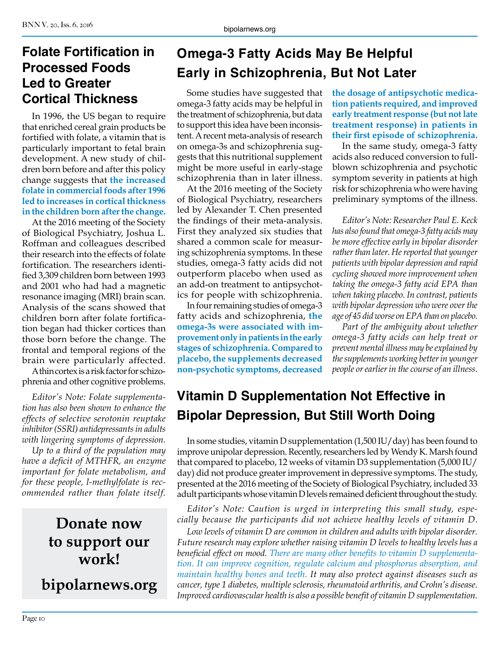#### **Folate Fortification in Processed Foods Led to Greater Cortical Thickness**

In 1996, the US began to require that enriched cereal grain products be fortified with folate, a vitamin that is particularly important to fetal brain development. A new study of children born before and after this policy change suggests that **the increased folate in commercial foods after 1996 led to increases in cortical thickness in the children born after the change.**

At the 2016 meeting of the Society of Biological Psychiatry, Joshua L. Roffman and colleagues described their research into the effects of folate fortification. The researchers identified 3,309 children born between 1993 and 2001 who had had a magnetic resonance imaging (MRI) brain scan. Analysis of the scans showed that children born after folate fortification began had thicker cortices than those born before the change. The frontal and temporal regions of the brain were particularly affected.

A thin cortex is a risk factor for schizophrenia and other cognitive problems.

*Editor's Note: Folate supplementation has also been shown to enhance the effects of selective serotonin reuptake inhibitor (SSRI) antidepressants in adults with lingering symptoms of depression.*

*Up to a third of the population may have a deficit of MTHFR, an enzyme important for folate metabolism, and for these people, l-methylfolate is recommended rather than folate itself.*

> **Donate now to support our work!**

**bipolarnews.org**

# **Omega-3 Fatty Acids May Be Helpful Early in Schizophrenia, But Not Later**

Some studies have suggested that omega-3 fatty acids may be helpful in the treatment of schizophrenia, but data to support this idea have been inconsistent. A recent meta-analysis of research on omega-3s and schizophrenia suggests that this nutritional supplement might be more useful in early-stage schizophrenia than in later illness.

At the 2016 meeting of the Society of Biological Psychiatry, researchers led by Alexander T. Chen presented the findings of their meta-analysis. First they analyzed six studies that shared a common scale for measuring schizophrenia symptoms. In these studies, omega-3 fatty acids did not outperform placebo when used as an add-on treatment to antipsychotics for people with schizophrenia.

In four remaining studies of omega-3 fatty acids and schizophrenia, **the omega-3s were associated with improvement only in patients in the early stages of schizophrenia. Compared to placebo, the supplements decreased non-psychotic symptoms, decreased** 

**the dosage of antipsychotic medication patients required, and improved early treatment response (but not late treatment response) in patients in their first episode of schizophrenia.**

In the same study, omega-3 fatty acids also reduced conversion to fullblown schizophrenia and psychotic symptom severity in patients at high risk for schizophrenia who were having preliminary symptoms of the illness.

*Editor's Note: Researcher Paul E. Keck has also found that omega-3 fatty acids may be more effective early in bipolar disorder rather than later. He reported that younger patients with bipolar depression and rapid cycling showed more improvement when taking the omega-3 fatty acid EPA than when taking placebo. In contrast, patients with bipolar depression who were over the age of 45 did worse on EPA than on placebo.*

*Part of the ambiguity about whether omega-3 fatty acids can help treat or prevent mental illness may be explained by the supplements working better in younger people or earlier in the course of an illness.*

# **Vitamin D Supplementation Not Effective in Bipolar Depression, But Still Worth Doing**

In some studies, vitamin D supplementation (1,500 IU/day) has been found to improve unipolar depression. Recently, researchers led by Wendy K. Marsh found that compared to placebo, 12 weeks of vitamin D3 supplementation (5,000 IU/ day) did not produce greater improvement in depressive symptoms. The study, presented at the 2016 meeting of the Society of Biological Psychiatry, included 33 adult participants whose vitamin D levels remained deficient throughout the study.

*Editor's Note: Caution is urged in interpreting this small study, especially because the participants did not achieve healthy levels of vitamin D.* 

*Low levels of vitamin D are common in children and adults with bipolar disorder. Future research may explore whether raising vitamin D levels to healthy levels has a beneficial effect on mood. There are many other benefits to vitamin D supplementation. It can improve cognition, regulate calcium and phosphorus absorption, and maintain healthy bones and teeth. It may also protect against diseases such as cancer, type 1 diabetes, multiple sclerosis, rheumatoid arthritis, and Crohn's disease. Improved cardiovascular health is also a possible benefit of vitamin D supplementation.*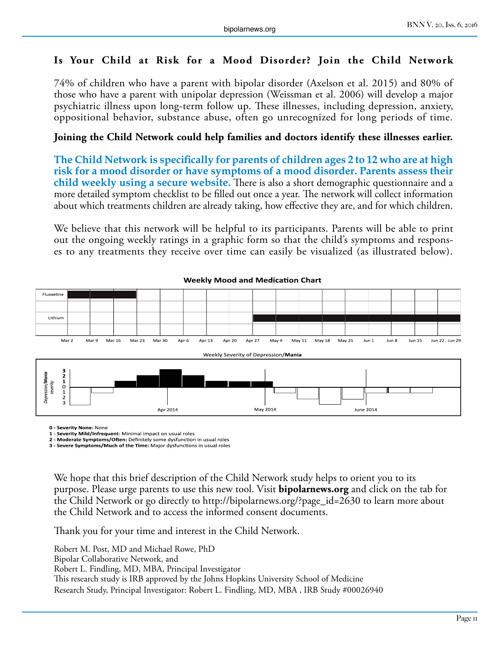#### **Is Your Child at Risk for a Mood Disorder? Join the Child Network**

74% of children who have a parent with bipolar disorder (Axelson et al. 2015) and 80% of those who have a parent with unipolar depression (Weissman et al. 2006) will develop a major psychiatric illness upon long-term follow up. These illnesses, including depression, anxiety, oppositional behavior, substance abuse, often go unrecognized for long periods of time.

#### **Joining the Child Network could help families and doctors identify these illnesses earlier.**

**The Child Network is specifically for parents of children ages 2 to 12 who are at high risk for a mood disorder or have symptoms of a mood disorder. Parents assess their child weekly using a secure website.** There is also a short demographic questionnaire and a more detailed symptom checklist to be filled out once a year. The network will collect information about which treatments children are already taking, how effective they are, and for which children.

We believe that this network will be helpful to its participants. Parents will be able to print out the ongoing weekly ratings in a graphic form so that the child's symptoms and responses to any treatments they receive over time can easily be visualized (as illustrated below).



#### **Weekly Mood and Medication Chart**

**0 - Severity None:** None

**1 - Severity Mild/Infrequent**: Minimal impact on usual roles

**2 - Moderate Symptoms/Often:** Definitely some dysfunction in usual roles **3 - Severe Symptoms/Much of the Time:** Major dysfunctions in usual roles

We hope that this brief description of the Child Network study helps to orient you to its purpose. Please urge parents to use this new tool. Visit **bipolarnews.org** and click on the tab for the Child Network or go directly to http://bipolarnews.org/?page\_id=2630 to learn more about the Child Network and to access the informed consent documents.

Thank you for your time and interest in the Child Network.

Robert M. Post, MD and Michael Rowe, PhD Bipolar Collaborative Network, and Robert L. Findling, MD, MBA, Principal Investigator This research study is IRB approved by the Johns Hopkins University School of Medicine Research Study, Principal Investigator: Robert L. Findling, MD, MBA , IRB Study #00026940